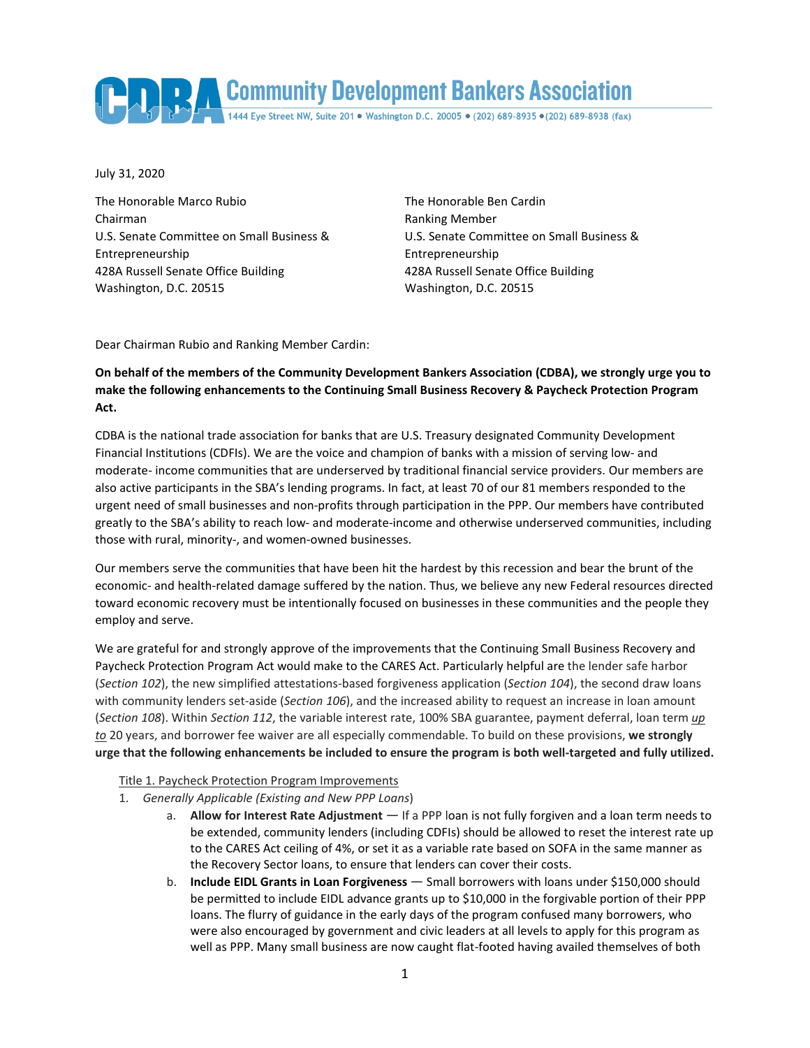Community Development Bankers Association

July 31, 2020

The Honorable Marco Rubio The Honorable Ben Cardin Chairman **Ranking Member** Ranking Member Entrepreneurship Entrepreneurship 428A Russell Senate Office Building 428A Russell Senate Office Building Washington, D.C. 20515 Washington, D.C. 20515

U.S. Senate Committee on Small Business & U.S. Senate Committee on Small Business &

Dear Chairman Rubio and Ranking Member Cardin:

## **On behalf of the members of the Community Development Bankers Association (CDBA), we strongly urge you to make the following enhancements to the Continuing Small Business Recovery & Paycheck Protection Program Act.**

CDBA is the national trade association for banks that are U.S. Treasury designated Community Development Financial Institutions (CDFIs). We are the voice and champion of banks with a mission of serving low- and moderate- income communities that are underserved by traditional financial service providers. Our members are also active participants in the SBA's lending programs. In fact, at least 70 of our 81 members responded to the urgent need of small businesses and non-profits through participation in the PPP. Our members have contributed greatly to the SBA's ability to reach low- and moderate-income and otherwise underserved communities, including those with rural, minority-, and women-owned businesses.

Our members serve the communities that have been hit the hardest by this recession and bear the brunt of the economic- and health-related damage suffered by the nation. Thus, we believe any new Federal resources directed toward economic recovery must be intentionally focused on businesses in these communities and the people they employ and serve.

We are grateful for and strongly approve of the improvements that the Continuing Small Business Recovery and Paycheck Protection Program Act would make to the CARES Act. Particularly helpful are the lender safe harbor (*Section 102*), the new simplified attestations-based forgiveness application (*Section 104*), the second draw loans with community lenders set-aside (*Section 106*), and the increased ability to request an increase in loan amount (*Section 108*). Within *Section 112*, the variable interest rate, 100% SBA guarantee, payment deferral, loan term *up to* 20 years, and borrower fee waiver are all especially commendable. To build on these provisions, **we strongly urge that the following enhancements be included to ensure the program is both well-targeted and fully utilized.**

## Title 1. Paycheck Protection Program Improvements

- 1. *Generally Applicable (Existing and New PPP Loans*)
	- a. **Allow for Interest Rate Adjustment** If a PPP loan is not fully forgiven and a loan term needs to be extended, community lenders (including CDFIs) should be allowed to reset the interest rate up to the CARES Act ceiling of 4%, or set it as a variable rate based on SOFA in the same manner as the Recovery Sector loans, to ensure that lenders can cover their costs.
	- b. **Include EIDL Grants in Loan Forgiveness** Small borrowers with loans under \$150,000 should be permitted to include EIDL advance grants up to \$10,000 in the forgivable portion of their PPP loans. The flurry of guidance in the early days of the program confused many borrowers, who were also encouraged by government and civic leaders at all levels to apply for this program as well as PPP. Many small business are now caught flat-footed having availed themselves of both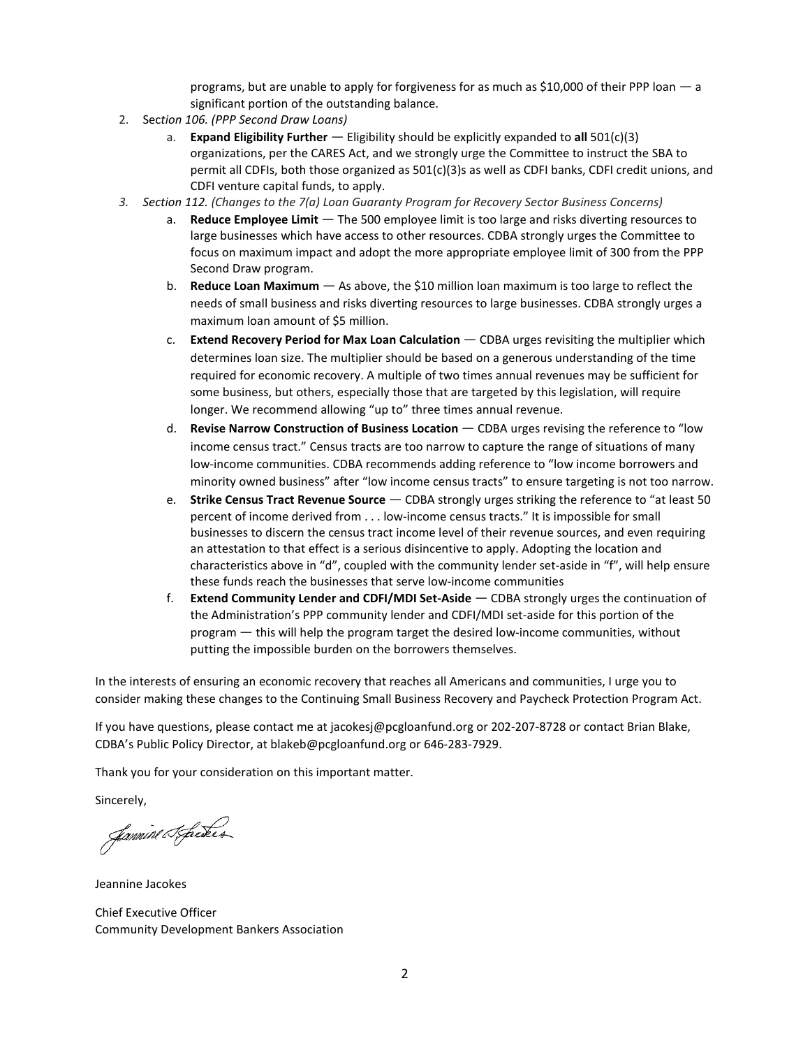programs, but are unable to apply for forgiveness for as much as \$10,000 of their PPP loan — a significant portion of the outstanding balance.

- 2. Sec*tion 106. (PPP Second Draw Loans)*
	- a. **Expand Eligibility Further**  Eligibility should be explicitly expanded to **all** 501(c)(3) organizations, per the CARES Act, and we strongly urge the Committee to instruct the SBA to permit all CDFIs, both those organized as 501(c)(3)s as well as CDFI banks, CDFI credit unions, and CDFI venture capital funds, to apply.
- *3. Section 112. (Changes to the 7(a) Loan Guaranty Program for Recovery Sector Business Concerns)*
	- a. **Reduce Employee Limit** The 500 employee limit is too large and risks diverting resources to large businesses which have access to other resources. CDBA strongly urges the Committee to focus on maximum impact and adopt the more appropriate employee limit of 300 from the PPP Second Draw program.
	- b. **Reduce Loan Maximum**  As above, the \$10 million loan maximum is too large to reflect the needs of small business and risks diverting resources to large businesses. CDBA strongly urges a maximum loan amount of \$5 million.
	- c. **Extend Recovery Period for Max Loan Calculation**  CDBA urges revisiting the multiplier which determines loan size. The multiplier should be based on a generous understanding of the time required for economic recovery. A multiple of two times annual revenues may be sufficient for some business, but others, especially those that are targeted by this legislation, will require longer. We recommend allowing "up to" three times annual revenue.
	- d. **Revise Narrow Construction of Business Location**  CDBA urges revising the reference to "low income census tract." Census tracts are too narrow to capture the range of situations of many low-income communities. CDBA recommends adding reference to "low income borrowers and minority owned business" after "low income census tracts" to ensure targeting is not too narrow.
	- e. **Strike Census Tract Revenue Source** CDBA strongly urges striking the reference to "at least 50 percent of income derived from . . . low-income census tracts." It is impossible for small businesses to discern the census tract income level of their revenue sources, and even requiring an attestation to that effect is a serious disincentive to apply. Adopting the location and characteristics above in "d", coupled with the community lender set-aside in "f", will help ensure these funds reach the businesses that serve low-income communities
	- f. **Extend Community Lender and CDFI/MDI Set-Aside** CDBA strongly urges the continuation of the Administration's PPP community lender and CDFI/MDI set-aside for this portion of the program — this will help the program target the desired low-income communities, without putting the impossible burden on the borrowers themselves.

In the interests of ensuring an economic recovery that reaches all Americans and communities, I urge you to consider making these changes to the Continuing Small Business Recovery and Paycheck Protection Program Act.

If you have questions, please contact me at jacokesj@pcgloanfund.org or 202-207-8728 or contact Brian Blake, CDBA's Public Policy Director, at blakeb@pcgloanfund.org or 646-283-7929.

Thank you for your consideration on this important matter.

Sincerely,

fannine Speker

Jeannine Jacokes

Chief Executive Officer Community Development Bankers Association